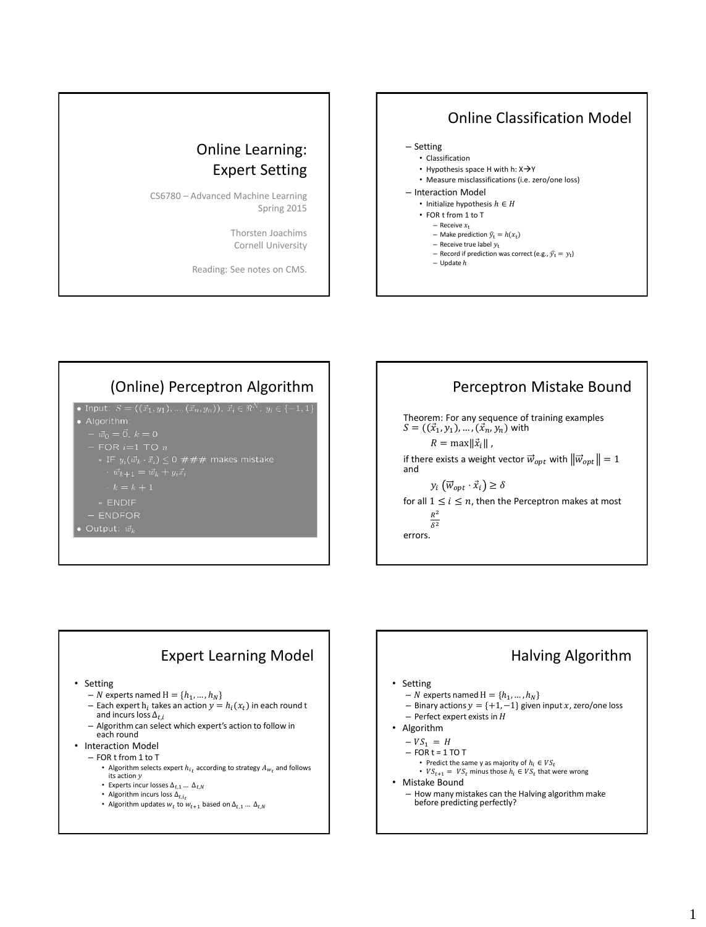

## (Online) Perceptron Algorithm | | | Perceptron Mistake Bound

• Input:  $S = ((\vec{x}_1, y_1), ..., (\vec{x}_n, y_n)), \ \vec{x}_i \in \Re^N, \ y_i \in \{-1, 1\}$ 

- 
- 
- 
- 

- 
- \* ENDIF
- ENDFOR
- Output:  $\vec{w}_k$

Theorem: For any sequence of training examples  $S = ((\vec{x}_1, y_1), ..., (\vec{x}_n, y_n)$  with  $R = \max ||\vec{x}_i||$ , if there exists a weight vector  $\vec{w}_{opt}$  with  $\|\vec{w}_{opt}\| = 1$ and  $y_i\left(\vec{w}_{opt}\cdot\vec{x}_i\right) \geq \delta$ for all  $1 \leq i \leq n$ , then the Perceptron makes at most  $R^2$  $\delta^2$ errors.



## Halving Algorithm

• Setting

- N experts named  $H = \{h_1, ..., h_N\}$
- Binary actions  $y = \{+1, -1\}$  given input  $x$ , zero/one loss
- $-$  Perfect expert exists in  $H$
- Algorithm
	- $VS_1 = H$

$$
- \overline{FOR} t = 1 \text{ TO T}
$$

- Predict the same y as majority of  $h_i \in VS_t$
- $VS_{t+1} = VS_t$  minus those  $h_i \in VS_t$  that were wrong
- Mistake Bound
	- How many mistakes can the Halving algorithm make before predicting perfectly?